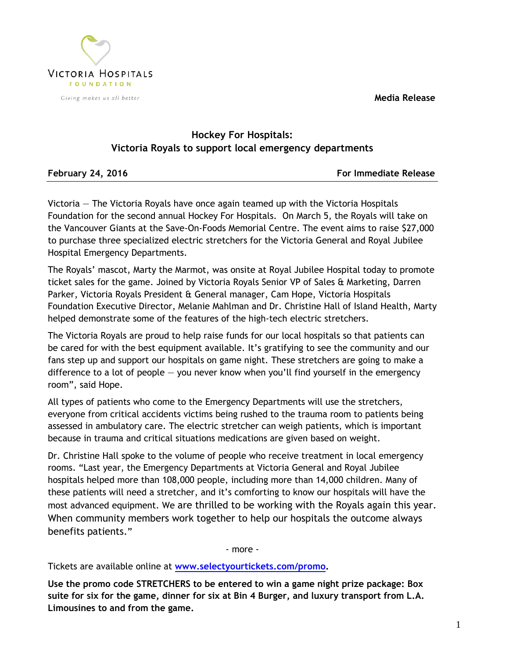**Media Release**



## **Hockey For Hospitals: Victoria Royals to support local emergency departments**

February 24, 2016 **For Immediate Release** 

Victoria — The Victoria Royals have once again teamed up with the Victoria Hospitals Foundation for the second annual Hockey For Hospitals. On March 5, the Royals will take on the Vancouver Giants at the Save-On-Foods Memorial Centre. The event aims to raise \$27,000 to purchase three specialized electric stretchers for the Victoria General and Royal Jubilee Hospital Emergency Departments.

The Royals' mascot, Marty the Marmot, was onsite at Royal Jubilee Hospital today to promote ticket sales for the game. Joined by Victoria Royals Senior VP of Sales & Marketing, Darren Parker, Victoria Royals President & General manager, Cam Hope, Victoria Hospitals Foundation Executive Director, Melanie Mahlman and Dr. Christine Hall of Island Health, Marty helped demonstrate some of the features of the high-tech electric stretchers.

The Victoria Royals are proud to help raise funds for our local hospitals so that patients can be cared for with the best equipment available. It's gratifying to see the community and our fans step up and support our hospitals on game night. These stretchers are going to make a difference to a lot of people — you never know when you'll find yourself in the emergency room", said Hope.

All types of patients who come to the Emergency Departments will use the stretchers, everyone from critical accidents victims being rushed to the trauma room to patients being assessed in ambulatory care. The electric stretcher can weigh patients, which is important because in trauma and critical situations medications are given based on weight.

Dr. Christine Hall spoke to the volume of people who receive treatment in local emergency rooms. "Last year, the Emergency Departments at Victoria General and Royal Jubilee hospitals helped more than 108,000 people, including more than 14,000 children. Many of these patients will need a stretcher, and it's comforting to know our hospitals will have the most advanced equipment. We are thrilled to be working with the Royals again this year. When community members work together to help our hospitals the outcome always benefits patients."

- more -

Tickets are available online at **[www.selectyourtickets.com/promo.](http://www.selectyourtickets.com/promo)** 

**Use the promo code STRETCHERS to be entered to win a game night prize package: Box suite for six for the game, dinner for six at Bin 4 Burger, and luxury transport from L.A. Limousines to and from the game.**